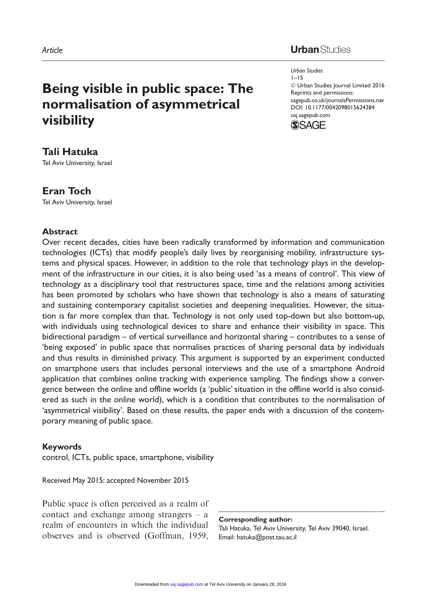## **Urban** Studies

Being visible in public space: The normalisation of asymmetrical visibility

Urban Studies 1–15 - Urban Studies Journal Limited 2016 Reprints and permissions: sagepub.co.uk/journalsPermissions.nav DOI: 10.1177/0042098015624384 usj.sagepub.com **SSAGE** 



#### Tali Hatuka

Tel Aviv University, Israel

#### Eran Toch

Tel Aviv University, Israel

#### Abstract

Over recent decades, cities have been radically transformed by information and communication technologies (ICTs) that modify people's daily lives by reorganising mobility, infrastructure systems and physical spaces. However, in addition to the role that technology plays in the development of the infrastructure in our cities, it is also being used 'as a means of control'. This view of technology as a disciplinary tool that restructures space, time and the relations among activities has been promoted by scholars who have shown that technology is also a means of saturating and sustaining contemporary capitalist societies and deepening inequalities. However, the situation is far more complex than that. Technology is not only used top-down but also bottom-up, with individuals using technological devices to share and enhance their visibility in space. This bidirectional paradigm – of vertical surveillance and horizontal sharing – contributes to a sense of 'being exposed' in public space that normalises practices of sharing personal data by individuals and thus results in diminished privacy. This argument is supported by an experiment conducted on smartphone users that includes personal interviews and the use of a smartphone Android application that combines online tracking with experience sampling. The findings show a convergence between the online and offline worlds (a 'public' situation in the offline world is also considered as such in the online world), which is a condition that contributes to the normalisation of 'asymmetrical visibility'. Based on these results, the paper ends with a discussion of the contemporary meaning of public space.

#### Keywords

control, ICTs, public space, smartphone, visibility

Received May 2015; accepted November 2015

Public space is often perceived as a realm of contact and exchange among strangers – a realm of encounters in which the individual observes and is observed (Goffman, 1959,

Corresponding author:

Tali Hatuka, Tel Aviv University, Tel Aviv 39040, Israel. Email: hatuka@post.tau.ac.il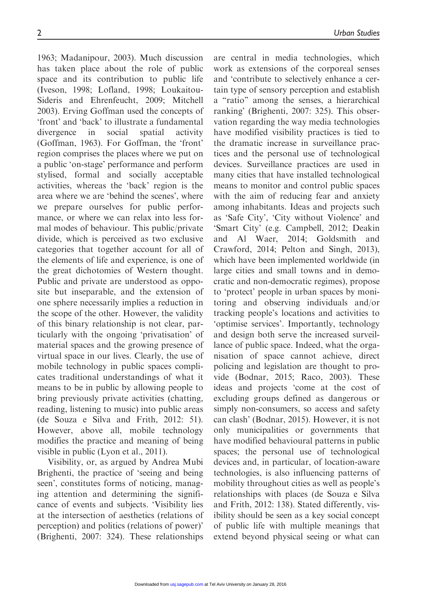1963; Madanipour, 2003). Much discussion has taken place about the role of public space and its contribution to public life (Iveson, 1998; Lofland, 1998; Loukaitou-Sideris and Ehrenfeucht, 2009; Mitchell 2003). Erving Goffman used the concepts of 'front' and 'back' to illustrate a fundamental divergence in social spatial activity (Goffman, 1963). For Goffman, the 'front' region comprises the places where we put on a public 'on-stage' performance and perform stylised, formal and socially acceptable activities, whereas the 'back' region is the area where we are 'behind the scenes', where we prepare ourselves for public performance, or where we can relax into less formal modes of behaviour. This public/private divide, which is perceived as two exclusive categories that together account for all of the elements of life and experience, is one of the great dichotomies of Western thought. Public and private are understood as opposite but inseparable, and the extension of one sphere necessarily implies a reduction in the scope of the other. However, the validity of this binary relationship is not clear, particularly with the ongoing 'privatisation' of material spaces and the growing presence of virtual space in our lives. Clearly, the use of mobile technology in public spaces complicates traditional understandings of what it means to be in public by allowing people to bring previously private activities (chatting, reading, listening to music) into public areas (de Souza e Silva and Frith, 2012: 51). However, above all, mobile technology modifies the practice and meaning of being visible in public (Lyon et al., 2011).

Visibility, or, as argued by Andrea Mubi Brighenti, the practice of 'seeing and being seen', constitutes forms of noticing, managing attention and determining the significance of events and subjects. 'Visibility lies at the intersection of aesthetics (relations of perception) and politics (relations of power)' (Brighenti, 2007: 324). These relationships

are central in media technologies, which work as extensions of the corporeal senses and 'contribute to selectively enhance a certain type of sensory perception and establish a ''ratio'' among the senses, a hierarchical ranking' (Brighenti, 2007: 325). This observation regarding the way media technologies have modified visibility practices is tied to the dramatic increase in surveillance practices and the personal use of technological devices. Surveillance practices are used in many cities that have installed technological means to monitor and control public spaces with the aim of reducing fear and anxiety among inhabitants. Ideas and projects such as 'Safe City', 'City without Violence' and 'Smart City' (e.g. Campbell, 2012; Deakin and Al Waer, 2014; Goldsmith and Crawford, 2014; Pelton and Singh, 2013), which have been implemented worldwide (in large cities and small towns and in democratic and non-democratic regimes), propose to 'protect' people in urban spaces by monitoring and observing individuals and/or tracking people's locations and activities to 'optimise services'. Importantly, technology and design both serve the increased surveillance of public space. Indeed, what the organisation of space cannot achieve, direct policing and legislation are thought to provide (Bodnar, 2015; Raco, 2003). These ideas and projects 'come at the cost of excluding groups defined as dangerous or simply non-consumers, so access and safety can clash' (Bodnar, 2015). However, it is not only municipalities or governments that have modified behavioural patterns in public spaces; the personal use of technological devices and, in particular, of location-aware technologies, is also influencing patterns of mobility throughout cities as well as people's relationships with places (de Souza e Silva and Frith, 2012: 138). Stated differently, visibility should be seen as a key social concept of public life with multiple meanings that extend beyond physical seeing or what can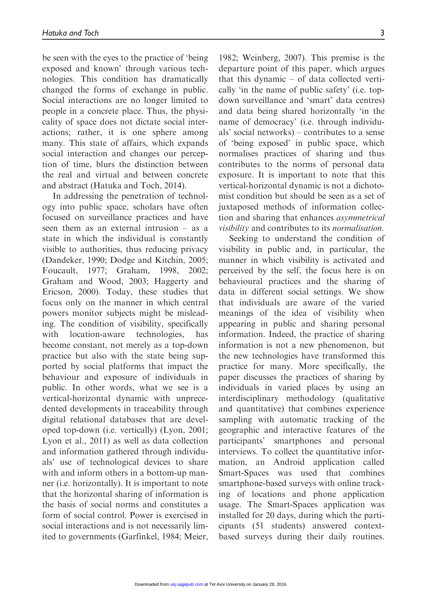be seen with the eyes to the practice of 'being exposed and known' through various technologies. This condition has dramatically changed the forms of exchange in public. Social interactions are no longer limited to people in a concrete place. Thus, the physicality of space does not dictate social interactions; rather, it is one sphere among many. This state of affairs, which expands social interaction and changes our perception of time, blurs the distinction between the real and virtual and between concrete and abstract (Hatuka and Toch, 2014).

In addressing the penetration of technology into public space, scholars have often focused on surveillance practices and have seen them as an external intrusion – as a state in which the individual is constantly visible to authorities, thus reducing privacy (Dandeker, 1990; Dodge and Kitchin, 2005; Foucault, 1977; Graham, 1998, 2002; Graham and Wood, 2003; Haggerty and Ericson, 2000). Today, these studies that focus only on the manner in which central powers monitor subjects might be misleading. The condition of visibility, specifically with location-aware technologies, has become constant, not merely as a top-down practice but also with the state being supported by social platforms that impact the behaviour and exposure of individuals in public. In other words, what we see is a vertical-horizontal dynamic with unprecedented developments in traceability through digital relational databases that are developed top-down (i.e. vertically) (Lyon, 2001; Lyon et al., 2011) as well as data collection and information gathered through individuals' use of technological devices to share with and inform others in a bottom-up manner (i.e. horizontally). It is important to note that the horizontal sharing of information is the basis of social norms and constitutes a form of social control. Power is exercised in social interactions and is not necessarily limited to governments (Garfinkel, 1984; Meier,

1982; Weinberg, 2007). This premise is the departure point of this paper, which argues that this dynamic – of data collected vertically 'in the name of public safety' (i.e. topdown surveillance and 'smart' data centres) and data being shared horizontally 'in the name of democracy' (i.e. through individuals' social networks) – contributes to a sense of 'being exposed' in public space, which normalises practices of sharing and thus contributes to the norms of personal data exposure. It is important to note that this vertical-horizontal dynamic is not a dichotomist condition but should be seen as a set of juxtaposed methods of information collection and sharing that enhances asymmetrical visibility and contributes to its normalisation.

Seeking to understand the condition of visibility in public and, in particular, the manner in which visibility is activated and perceived by the self, the focus here is on behavioural practices and the sharing of data in different social settings. We show that individuals are aware of the varied meanings of the idea of visibility when appearing in public and sharing personal information. Indeed, the practice of sharing information is not a new phenomenon, but the new technologies have transformed this practice for many. More specifically, the paper discusses the practices of sharing by individuals in varied places by using an interdisciplinary methodology (qualitative and quantitative) that combines experience sampling with automatic tracking of the geographic and interactive features of the participants' smartphones and personal interviews. To collect the quantitative information, an Android application called Smart-Spaces was used that combines smartphone-based surveys with online tracking of locations and phone application usage. The Smart-Spaces application was installed for 20 days, during which the participants (51 students) answered contextbased surveys during their daily routines.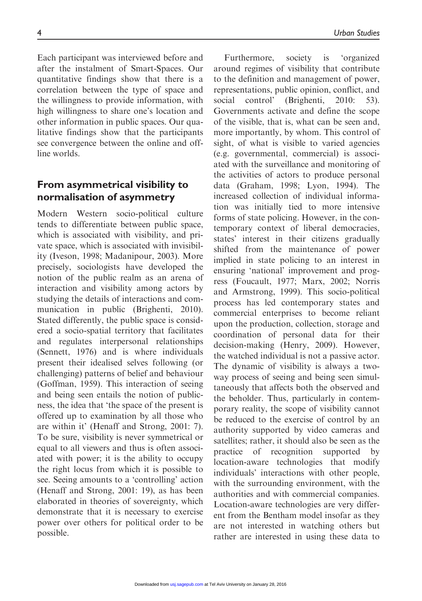Each participant was interviewed before and after the instalment of Smart-Spaces. Our quantitative findings show that there is a correlation between the type of space and the willingness to provide information, with high willingness to share one's location and other information in public spaces. Our qualitative findings show that the participants see convergence between the online and offline worlds.

#### From asymmetrical visibility to normalisation of asymmetry

Modern Western socio-political culture tends to differentiate between public space, which is associated with visibility, and private space, which is associated with invisibility (Iveson, 1998; Madanipour, 2003). More precisely, sociologists have developed the notion of the public realm as an arena of interaction and visibility among actors by studying the details of interactions and communication in public (Brighenti, 2010). Stated differently, the public space is considered a socio-spatial territory that facilitates and regulates interpersonal relationships (Sennett, 1976) and is where individuals present their idealised selves following (or challenging) patterns of belief and behaviour (Goffman, 1959). This interaction of seeing and being seen entails the notion of publicness, the idea that 'the space of the present is offered up to examination by all those who are within it' (Henaff and Strong, 2001: 7). To be sure, visibility is never symmetrical or equal to all viewers and thus is often associated with power; it is the ability to occupy the right locus from which it is possible to see. Seeing amounts to a 'controlling' action (Henaff and Strong, 2001: 19), as has been elaborated in theories of sovereignty, which demonstrate that it is necessary to exercise power over others for political order to be possible.

Furthermore, society is 'organized around regimes of visibility that contribute to the definition and management of power, representations, public opinion, conflict, and social control' (Brighenti, 2010: 53). Governments activate and define the scope of the visible, that is, what can be seen and, more importantly, by whom. This control of sight, of what is visible to varied agencies (e.g. governmental, commercial) is associated with the surveillance and monitoring of the activities of actors to produce personal data (Graham, 1998; Lyon, 1994). The increased collection of individual information was initially tied to more intensive forms of state policing. However, in the contemporary context of liberal democracies, states' interest in their citizens gradually shifted from the maintenance of power implied in state policing to an interest in ensuring 'national' improvement and progress (Foucault, 1977; Marx, 2002; Norris and Armstrong, 1999). This socio-political process has led contemporary states and commercial enterprises to become reliant upon the production, collection, storage and coordination of personal data for their decision-making (Henry, 2009). However, the watched individual is not a passive actor. The dynamic of visibility is always a twoway process of seeing and being seen simultaneously that affects both the observed and the beholder. Thus, particularly in contemporary reality, the scope of visibility cannot be reduced to the exercise of control by an authority supported by video cameras and satellites; rather, it should also be seen as the practice of recognition supported by location-aware technologies that modify individuals' interactions with other people, with the surrounding environment, with the authorities and with commercial companies. Location-aware technologies are very different from the Bentham model insofar as they are not interested in watching others but rather are interested in using these data to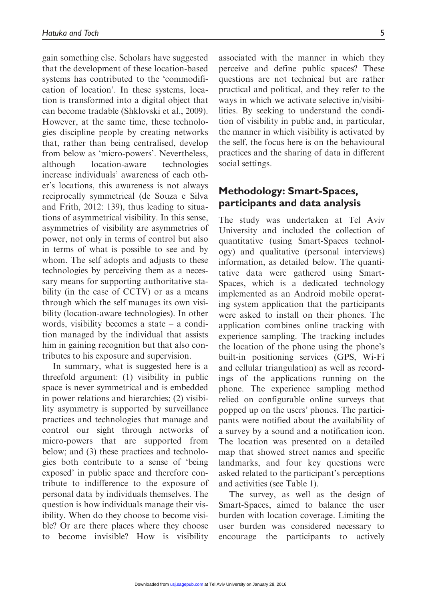gain something else. Scholars have suggested that the development of these location-based systems has contributed to the 'commodification of location'. In these systems, location is transformed into a digital object that can become tradable (Shklovski et al., 2009). However, at the same time, these technologies discipline people by creating networks that, rather than being centralised, develop from below as 'micro-powers'. Nevertheless, although location-aware technologies increase individuals' awareness of each other's locations, this awareness is not always reciprocally symmetrical (de Souza e Silva and Frith, 2012: 139), thus leading to situations of asymmetrical visibility. In this sense, asymmetries of visibility are asymmetries of power, not only in terms of control but also in terms of what is possible to see and by whom. The self adopts and adjusts to these technologies by perceiving them as a necessary means for supporting authoritative stability (in the case of CCTV) or as a means through which the self manages its own visibility (location-aware technologies). In other words, visibility becomes a state – a condition managed by the individual that assists him in gaining recognition but that also contributes to his exposure and supervision.

In summary, what is suggested here is a threefold argument: (1) visibility in public space is never symmetrical and is embedded in power relations and hierarchies; (2) visibility asymmetry is supported by surveillance practices and technologies that manage and control our sight through networks of micro-powers that are supported from below; and (3) these practices and technologies both contribute to a sense of 'being exposed' in public space and therefore contribute to indifference to the exposure of personal data by individuals themselves. The question is how individuals manage their visibility. When do they choose to become visible? Or are there places where they choose to become invisible? How is visibility

associated with the manner in which they perceive and define public spaces? These questions are not technical but are rather practical and political, and they refer to the ways in which we activate selective in/visibilities. By seeking to understand the condition of visibility in public and, in particular, the manner in which visibility is activated by the self, the focus here is on the behavioural practices and the sharing of data in different social settings.

# Methodology: Smart-Spaces, participants and data analysis

The study was undertaken at Tel Aviv University and included the collection of quantitative (using Smart-Spaces technology) and qualitative (personal interviews) information, as detailed below. The quantitative data were gathered using Smart-Spaces, which is a dedicated technology implemented as an Android mobile operating system application that the participants were asked to install on their phones. The application combines online tracking with experience sampling. The tracking includes the location of the phone using the phone's built-in positioning services (GPS, Wi-Fi and cellular triangulation) as well as recordings of the applications running on the phone. The experience sampling method relied on configurable online surveys that popped up on the users' phones. The participants were notified about the availability of a survey by a sound and a notification icon. The location was presented on a detailed map that showed street names and specific landmarks, and four key questions were asked related to the participant's perceptions and activities (see Table 1).

The survey, as well as the design of Smart-Spaces, aimed to balance the user burden with location coverage. Limiting the user burden was considered necessary to encourage the participants to actively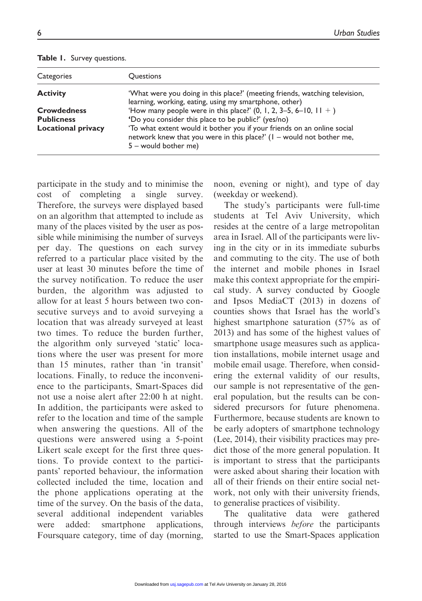| Categories                | Questions                                                                                                                                                               |
|---------------------------|-------------------------------------------------------------------------------------------------------------------------------------------------------------------------|
| <b>Activity</b>           | 'What were you doing in this place?' (meeting friends, watching television,<br>learning, working, eating, using my smartphone, other)                                   |
| <b>Crowdedness</b>        | 'How many people were in this place?' $(0, 1, 2, 3-5, 6-10, 11 +)$                                                                                                      |
| <b>Publicness</b>         | 'Do you consider this place to be public?' (yes/no)                                                                                                                     |
| <b>Locational privacy</b> | 'To what extent would it bother you if your friends on an online social<br>network knew that you were in this place?' (I - would not bother me,<br>5 - would bother me) |

Table 1. Survey questions.

participate in the study and to minimise the cost of completing a single survey. Therefore, the surveys were displayed based on an algorithm that attempted to include as many of the places visited by the user as possible while minimising the number of surveys per day. The questions on each survey referred to a particular place visited by the user at least 30 minutes before the time of the survey notification. To reduce the user burden, the algorithm was adjusted to allow for at least 5 hours between two consecutive surveys and to avoid surveying a location that was already surveyed at least two times. To reduce the burden further, the algorithm only surveyed 'static' locations where the user was present for more than 15 minutes, rather than 'in transit' locations. Finally, to reduce the inconvenience to the participants, Smart-Spaces did not use a noise alert after 22:00 h at night. In addition, the participants were asked to refer to the location and time of the sample when answering the questions. All of the questions were answered using a 5-point Likert scale except for the first three questions. To provide context to the participants' reported behaviour, the information collected included the time, location and the phone applications operating at the time of the survey. On the basis of the data, several additional independent variables were added: smartphone applications, Foursquare category, time of day (morning, noon, evening or night), and type of day (weekday or weekend).

The study's participants were full-time students at Tel Aviv University, which resides at the centre of a large metropolitan area in Israel. All of the participants were living in the city or in its immediate suburbs and commuting to the city. The use of both the internet and mobile phones in Israel make this context appropriate for the empirical study. A survey conducted by Google and Ipsos MediaCT (2013) in dozens of counties shows that Israel has the world's highest smartphone saturation (57% as of 2013) and has some of the highest values of smartphone usage measures such as application installations, mobile internet usage and mobile email usage. Therefore, when considering the external validity of our results, our sample is not representative of the general population, but the results can be considered precursors for future phenomena. Furthermore, because students are known to be early adopters of smartphone technology (Lee, 2014), their visibility practices may predict those of the more general population. It is important to stress that the participants were asked about sharing their location with all of their friends on their entire social network, not only with their university friends, to generalise practices of visibility.

The qualitative data were gathered through interviews before the participants started to use the Smart-Spaces application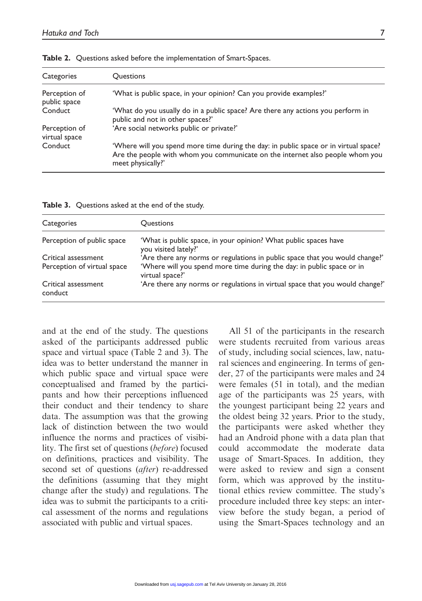| Categories                     | <b>Ouestions</b>                                                                                                                                                                           |
|--------------------------------|--------------------------------------------------------------------------------------------------------------------------------------------------------------------------------------------|
| Perception of<br>public space  | 'What is public space, in your opinion? Can you provide examples?'                                                                                                                         |
| Conduct                        | 'What do you usually do in a public space? Are there any actions you perform in<br>public and not in other spaces?'                                                                        |
| Perception of<br>virtual space | 'Are social networks public or private?'                                                                                                                                                   |
| Conduct                        | 'Where will you spend more time during the day: in public space or in virtual space?<br>Are the people with whom you communicate on the internet also people whom you<br>meet physically?' |

Table 2. Questions asked before the implementation of Smart-Spaces.

| Perception of<br>public space  | 'What is public space, in your opinion? Can you provide examples?'                                                                                                                     |
|--------------------------------|----------------------------------------------------------------------------------------------------------------------------------------------------------------------------------------|
| Conduct                        | 'What do you usually do in a public space? Are there any actions you perform in<br>public and not in other spaces?'                                                                    |
| Perception of<br>virtual space | 'Are social networks public or private?'                                                                                                                                               |
| Conduct                        | 'Where will you spend more time during the day: in public space or in virtual spac<br>Are the people with whom you communicate on the internet also people whom y<br>meet physically?' |

Table 3. Questions asked at the end of the study.

| Categories                     | <b>Ouestions</b>                                                                         |
|--------------------------------|------------------------------------------------------------------------------------------|
| Perception of public space     | 'What is public space, in your opinion? What public spaces have<br>you visited lately?'  |
| Critical assessment            | 'Are there any norms or regulations in public space that you would change?'              |
| Perception of virtual space    | 'Where will you spend more time during the day: in public space or in<br>virtual space?' |
| Critical assessment<br>conduct | 'Are there any norms or regulations in virtual space that you would change?'             |

and at the end of the study. The questions asked of the participants addressed public space and virtual space (Table 2 and 3). The idea was to better understand the manner in which public space and virtual space were conceptualised and framed by the participants and how their perceptions influenced their conduct and their tendency to share data. The assumption was that the growing lack of distinction between the two would influence the norms and practices of visibility. The first set of questions (before) focused on definitions, practices and visibility. The second set of questions (after) re-addressed the definitions (assuming that they might change after the study) and regulations. The idea was to submit the participants to a critical assessment of the norms and regulations associated with public and virtual spaces.

All 51 of the participants in the research were students recruited from various areas of study, including social sciences, law, natural sciences and engineering. In terms of gender, 27 of the participants were males and 24 were females (51 in total), and the median age of the participants was 25 years, with the youngest participant being 22 years and the oldest being 32 years. Prior to the study, the participants were asked whether they had an Android phone with a data plan that could accommodate the moderate data usage of Smart-Spaces. In addition, they were asked to review and sign a consent form, which was approved by the institutional ethics review committee. The study's procedure included three key steps: an interview before the study began, a period of using the Smart-Spaces technology and an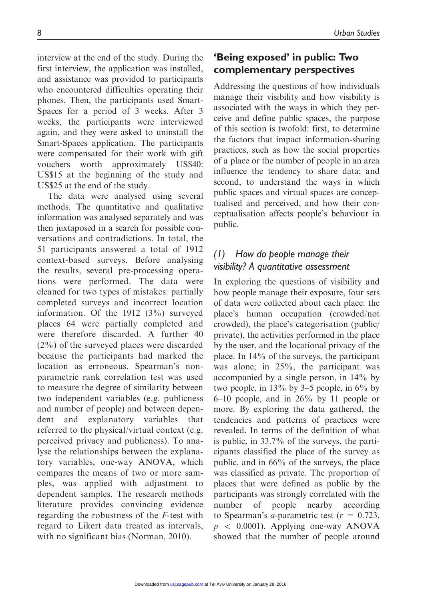interview at the end of the study. During the first interview, the application was installed, and assistance was provided to participants who encountered difficulties operating their phones. Then, the participants used Smart-Spaces for a period of 3 weeks. After 3 weeks, the participants were interviewed again, and they were asked to uninstall the Smart-Spaces application. The participants were compensated for their work with gift vouchers worth approximately US\$40: US\$15 at the beginning of the study and US\$25 at the end of the study.

The data were analysed using several methods. The quantitative and qualitative information was analysed separately and was then juxtaposed in a search for possible conversations and contradictions. In total, the 51 participants answered a total of 1912 context-based surveys. Before analysing the results, several pre-processing operations were performed. The data were cleaned for two types of mistakes: partially completed surveys and incorrect location information. Of the 1912 (3%) surveyed places 64 were partially completed and were therefore discarded. A further 40 (2%) of the surveyed places were discarded because the participants had marked the location as erroneous. Spearman's nonparametric rank correlation test was used to measure the degree of similarity between two independent variables (e.g. publicness and number of people) and between dependent and explanatory variables that referred to the physical/virtual context (e.g. perceived privacy and publicness). To analyse the relationships between the explanatory variables, one-way ANOVA, which compares the means of two or more samples, was applied with adjustment to dependent samples. The research methods literature provides convincing evidence regarding the robustness of the F-test with regard to Likert data treated as intervals, with no significant bias (Norman, 2010).

# 'Being exposed' in public: Two complementary perspectives

Addressing the questions of how individuals manage their visibility and how visibility is associated with the ways in which they perceive and define public spaces, the purpose of this section is twofold: first, to determine the factors that impact information-sharing practices, such as how the social properties of a place or the number of people in an area influence the tendency to share data; and second, to understand the ways in which public spaces and virtual spaces are conceptualised and perceived, and how their conceptualisation affects people's behaviour in public.

# (1) How do people manage their visibility? A quantitative assessment

In exploring the questions of visibility and how people manage their exposure, four sets of data were collected about each place: the place's human occupation (crowded/not crowded), the place's categorisation (public/ private), the activities performed in the place by the user, and the locational privacy of the place. In 14% of the surveys, the participant was alone; in 25%, the participant was accompanied by a single person, in 14% by two people, in  $13\%$  by 3–5 people, in  $6\%$  by 6–10 people, and in 26% by 11 people or more. By exploring the data gathered, the tendencies and patterns of practices were revealed. In terms of the definition of what is public, in 33.7% of the surveys, the participants classified the place of the survey as public, and in 66% of the surveys, the place was classified as private. The proportion of places that were defined as public by the participants was strongly correlated with the number of people nearby according to Spearman's *a*-parametric test ( $r = 0.723$ ,  $p \leq 0.0001$ . Applying one-way ANOVA showed that the number of people around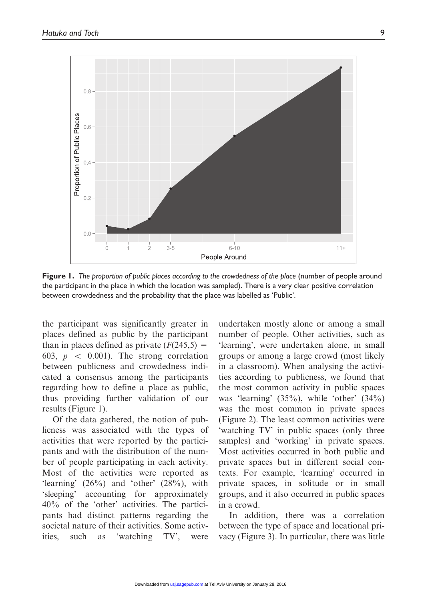

Figure 1. The proportion of public places according to the crowdedness of the place (number of people around the participant in the place in which the location was sampled). There is a very clear positive correlation between crowdedness and the probability that the place was labelled as 'Public'.

the participant was significantly greater in places defined as public by the participant than in places defined as private  $(F(245,5) =$ 603,  $p \, < \, 0.001$ ). The strong correlation between publicness and crowdedness indicated a consensus among the participants regarding how to define a place as public, thus providing further validation of our results (Figure 1).

Of the data gathered, the notion of publicness was associated with the types of activities that were reported by the participants and with the distribution of the number of people participating in each activity. Most of the activities were reported as 'learning' (26%) and 'other' (28%), with 'sleeping' accounting for approximately 40% of the 'other' activities. The participants had distinct patterns regarding the societal nature of their activities. Some activities, such as 'watching TV', were undertaken mostly alone or among a small number of people. Other activities, such as 'learning', were undertaken alone, in small groups or among a large crowd (most likely in a classroom). When analysing the activities according to publicness, we found that the most common activity in public spaces was 'learning' (35%), while 'other' (34%) was the most common in private spaces (Figure 2). The least common activities were 'watching TV' in public spaces (only three samples) and 'working' in private spaces. Most activities occurred in both public and private spaces but in different social contexts. For example, 'learning' occurred in private spaces, in solitude or in small groups, and it also occurred in public spaces in a crowd.

In addition, there was a correlation between the type of space and locational privacy (Figure 3). In particular, there was little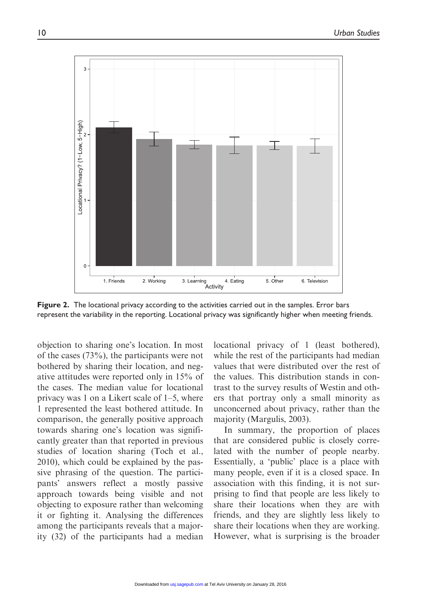

Figure 2. The locational privacy according to the activities carried out in the samples. Error bars represent the variability in the reporting. Locational privacy was significantly higher when meeting friends.

objection to sharing one's location. In most of the cases (73%), the participants were not bothered by sharing their location, and negative attitudes were reported only in 15% of the cases. The median value for locational privacy was 1 on a Likert scale of 1–5, where 1 represented the least bothered attitude. In comparison, the generally positive approach towards sharing one's location was significantly greater than that reported in previous studies of location sharing (Toch et al., 2010), which could be explained by the passive phrasing of the question. The participants' answers reflect a mostly passive approach towards being visible and not objecting to exposure rather than welcoming it or fighting it. Analysing the differences among the participants reveals that a majority (32) of the participants had a median locational privacy of 1 (least bothered), while the rest of the participants had median values that were distributed over the rest of the values. This distribution stands in contrast to the survey results of Westin and others that portray only a small minority as unconcerned about privacy, rather than the majority (Margulis, 2003).

In summary, the proportion of places that are considered public is closely correlated with the number of people nearby. Essentially, a 'public' place is a place with many people, even if it is a closed space. In association with this finding, it is not surprising to find that people are less likely to share their locations when they are with friends, and they are slightly less likely to share their locations when they are working. However, what is surprising is the broader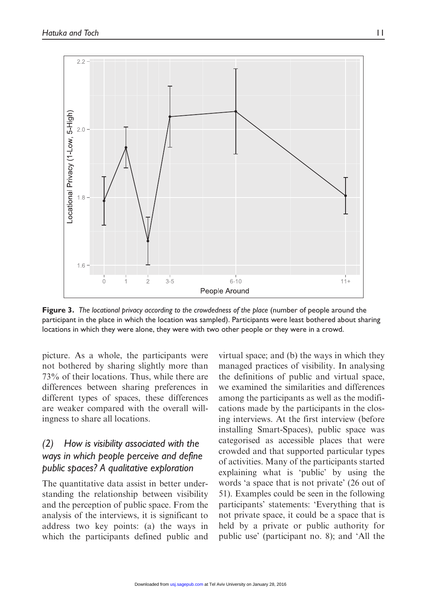

**Figure 3.** The locational privacy according to the crowdedness of the place (number of people around the participant in the place in which the location was sampled). Participants were least bothered about sharing locations in which they were alone, they were with two other people or they were in a crowd.

picture. As a whole, the participants were not bothered by sharing slightly more than 73% of their locations. Thus, while there are differences between sharing preferences in different types of spaces, these differences are weaker compared with the overall willingness to share all locations.

# (2) How is visibility associated with the ways in which people perceive and define public spaces? A qualitative exploration

The quantitative data assist in better understanding the relationship between visibility and the perception of public space. From the analysis of the interviews, it is significant to address two key points: (a) the ways in which the participants defined public and

virtual space; and (b) the ways in which they managed practices of visibility. In analysing the definitions of public and virtual space, we examined the similarities and differences among the participants as well as the modifications made by the participants in the closing interviews. At the first interview (before installing Smart-Spaces), public space was categorised as accessible places that were crowded and that supported particular types of activities. Many of the participants started explaining what is 'public' by using the words 'a space that is not private' (26 out of 51). Examples could be seen in the following participants' statements: 'Everything that is not private space, it could be a space that is held by a private or public authority for public use' (participant no. 8); and 'All the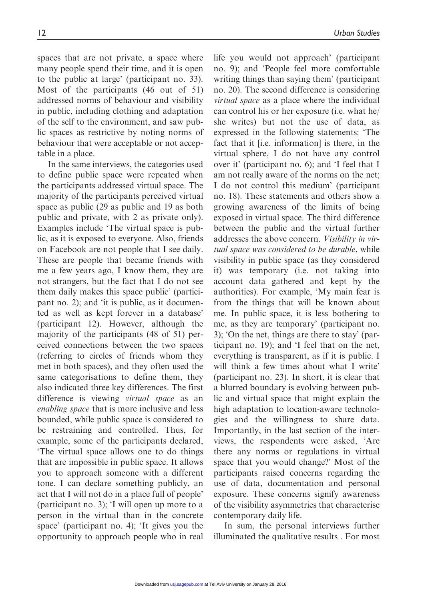spaces that are not private, a space where many people spend their time, and it is open to the public at large' (participant no. 33). Most of the participants (46 out of 51) addressed norms of behaviour and visibility

in public, including clothing and adaptation of the self to the environment, and saw public spaces as restrictive by noting norms of behaviour that were acceptable or not acceptable in a place.

In the same interviews, the categories used to define public space were repeated when the participants addressed virtual space. The majority of the participants perceived virtual space as public (29 as public and 19 as both public and private, with 2 as private only). Examples include 'The virtual space is public, as it is exposed to everyone. Also, friends on Facebook are not people that I see daily. These are people that became friends with me a few years ago, I know them, they are not strangers, but the fact that I do not see them daily makes this space public' (participant no. 2); and 'it is public, as it documented as well as kept forever in a database' (participant 12). However, although the majority of the participants (48 of 51) perceived connections between the two spaces (referring to circles of friends whom they met in both spaces), and they often used the same categorisations to define them, they also indicated three key differences. The first difference is viewing virtual space as an enabling space that is more inclusive and less bounded, while public space is considered to be restraining and controlled. Thus, for example, some of the participants declared, 'The virtual space allows one to do things that are impossible in public space. It allows you to approach someone with a different tone. I can declare something publicly, an act that I will not do in a place full of people' (participant no. 3); 'I will open up more to a person in the virtual than in the concrete space' (participant no. 4); 'It gives you the opportunity to approach people who in real

no. 9); and 'People feel more comfortable writing things than saying them' (participant no. 20). The second difference is considering virtual space as a place where the individual can control his or her exposure (i.e. what he/ she writes) but not the use of data, as expressed in the following statements: 'The fact that it [i.e. information] is there, in the virtual sphere, I do not have any control over it' (participant no. 6); and 'I feel that I am not really aware of the norms on the net; I do not control this medium' (participant no. 18). These statements and others show a growing awareness of the limits of being exposed in virtual space. The third difference between the public and the virtual further addresses the above concern. Visibility in virtual space was considered to be durable, while visibility in public space (as they considered it) was temporary (i.e. not taking into account data gathered and kept by the authorities). For example, 'My main fear is from the things that will be known about me. In public space, it is less bothering to me, as they are temporary' (participant no. 3); 'On the net, things are there to stay' (participant no. 19); and 'I feel that on the net, everything is transparent, as if it is public. I will think a few times about what I write' (participant no. 23). In short, it is clear that a blurred boundary is evolving between public and virtual space that might explain the high adaptation to location-aware technologies and the willingness to share data. Importantly, in the last section of the interviews, the respondents were asked, 'Are there any norms or regulations in virtual space that you would change?' Most of the participants raised concerns regarding the use of data, documentation and personal exposure. These concerns signify awareness of the visibility asymmetries that characterise contemporary daily life.

In sum, the personal interviews further illuminated the qualitative results . For most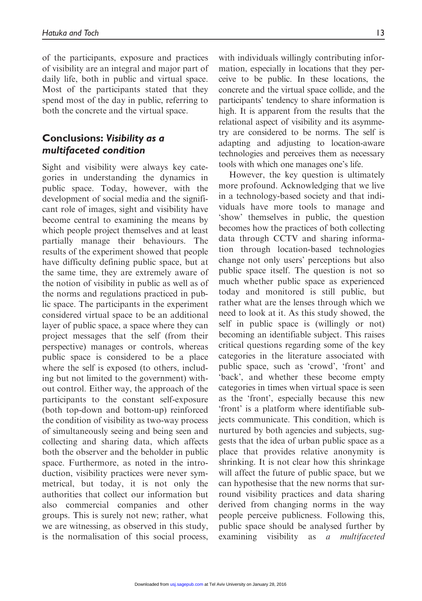of the participants, exposure and practices of visibility are an integral and major part of daily life, both in public and virtual space. Most of the participants stated that they spend most of the day in public, referring to both the concrete and the virtual space.

## Conclusions: Visibility as a multifaceted condition

Sight and visibility were always key categories in understanding the dynamics in public space. Today, however, with the development of social media and the significant role of images, sight and visibility have become central to examining the means by which people project themselves and at least partially manage their behaviours. The results of the experiment showed that people have difficulty defining public space, but at the same time, they are extremely aware of the notion of visibility in public as well as of the norms and regulations practiced in public space. The participants in the experiment considered virtual space to be an additional layer of public space, a space where they can project messages that the self (from their perspective) manages or controls, whereas public space is considered to be a place where the self is exposed (to others, including but not limited to the government) without control. Either way, the approach of the participants to the constant self-exposure (both top-down and bottom-up) reinforced the condition of visibility as two-way process of simultaneously seeing and being seen and collecting and sharing data, which affects both the observer and the beholder in public space. Furthermore, as noted in the introduction, visibility practices were never symmetrical, but today, it is not only the authorities that collect our information but also commercial companies and other groups. This is surely not new; rather, what we are witnessing, as observed in this study, is the normalisation of this social process, with individuals willingly contributing information, especially in locations that they perceive to be public. In these locations, the concrete and the virtual space collide, and the participants' tendency to share information is high. It is apparent from the results that the relational aspect of visibility and its asymmetry are considered to be norms. The self is adapting and adjusting to location-aware technologies and perceives them as necessary tools with which one manages one's life.

However, the key question is ultimately more profound. Acknowledging that we live in a technology-based society and that individuals have more tools to manage and 'show' themselves in public, the question becomes how the practices of both collecting data through CCTV and sharing information through location-based technologies change not only users' perceptions but also public space itself. The question is not so much whether public space as experienced today and monitored is still public, but rather what are the lenses through which we need to look at it. As this study showed, the self in public space is (willingly or not) becoming an identifiable subject. This raises critical questions regarding some of the key categories in the literature associated with public space, such as 'crowd', 'front' and 'back', and whether these become empty categories in times when virtual space is seen as the 'front', especially because this new 'front' is a platform where identifiable subjects communicate. This condition, which is nurtured by both agencies and subjects, suggests that the idea of urban public space as a place that provides relative anonymity is shrinking. It is not clear how this shrinkage will affect the future of public space, but we can hypothesise that the new norms that surround visibility practices and data sharing derived from changing norms in the way people perceive publicness. Following this, public space should be analysed further by examining visibility as a *multifaceted*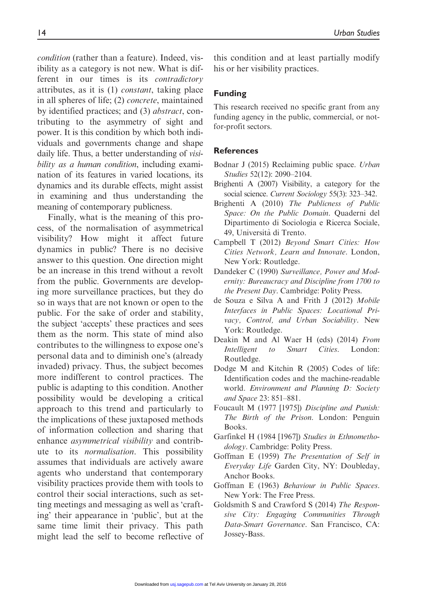condition (rather than a feature). Indeed, visibility as a category is not new. What is different in our times is its *contradictory* attributes, as it is (1) constant, taking place in all spheres of life; (2) concrete, maintained by identified practices; and (3) abstract, contributing to the asymmetry of sight and power. It is this condition by which both individuals and governments change and shape daily life. Thus, a better understanding of visibility as a human condition, including examination of its features in varied locations, its dynamics and its durable effects, might assist in examining and thus understanding the meaning of contemporary publicness.

Finally, what is the meaning of this process, of the normalisation of asymmetrical visibility? How might it affect future dynamics in public? There is no decisive answer to this question. One direction might be an increase in this trend without a revolt from the public. Governments are developing more surveillance practices, but they do so in ways that are not known or open to the public. For the sake of order and stability, the subject 'accepts' these practices and sees them as the norm. This state of mind also contributes to the willingness to expose one's personal data and to diminish one's (already invaded) privacy. Thus, the subject becomes more indifferent to control practices. The public is adapting to this condition. Another possibility would be developing a critical approach to this trend and particularly to the implications of these juxtaposed methods of information collection and sharing that enhance asymmetrical visibility and contribute to its normalisation. This possibility assumes that individuals are actively aware agents who understand that contemporary visibility practices provide them with tools to control their social interactions, such as setting meetings and messaging as well as 'crafting' their appearance in 'public', but at the same time limit their privacy. This path might lead the self to become reflective of this condition and at least partially modify his or her visibility practices.

#### Funding

This research received no specific grant from any funding agency in the public, commercial, or notfor-profit sectors.

#### **References**

- Bodnar J (2015) Reclaiming public space. Urban Studies 52(12): 2090–2104.
- Brighenti A (2007) Visibility, a category for the social science. Current Sociology 55(3): 323–342.
- Brighenti A (2010) The Publicness of Public Space: On the Public Domain. Quaderni del Dipartimento di Sociologia e Ricerca Sociale, 49, Universita` di Trento.
- Campbell T (2012) Beyond Smart Cities: How Cities Network, Learn and Innovate. London, New York: Routledge.
- Dandeker C (1990) Surveillance, Power and Modernity: Bureaucracy and Discipline from 1700 to the Present Day. Cambridge: Polity Press.
- de Souza e Silva A and Frith J (2012) Mobile Interfaces in Public Spaces: Locational Privacy, Control, and Urban Sociability. New York: Routledge.
- Deakin M and Al Waer H (eds) (2014) From Intelligent to Smart Cities. London: Routledge.
- Dodge M and Kitchin R (2005) Codes of life: Identification codes and the machine-readable world. Environment and Planning D: Society and Space 23: 851–881.
- Foucault M (1977 [1975]) Discipline and Punish: The Birth of the Prison. London: Penguin Books.
- Garfinkel H (1984 [1967]) Studies in Ethnomethodology. Cambridge: Polity Press.
- Goffman E (1959) The Presentation of Self in Everyday Life Garden City, NY: Doubleday, Anchor Books.
- Goffman E (1963) Behaviour in Public Spaces. New York: The Free Press.
- Goldsmith S and Crawford S (2014) The Responsive City: Engaging Communities Through Data-Smart Governance. San Francisco, CA: Jossey-Bass.